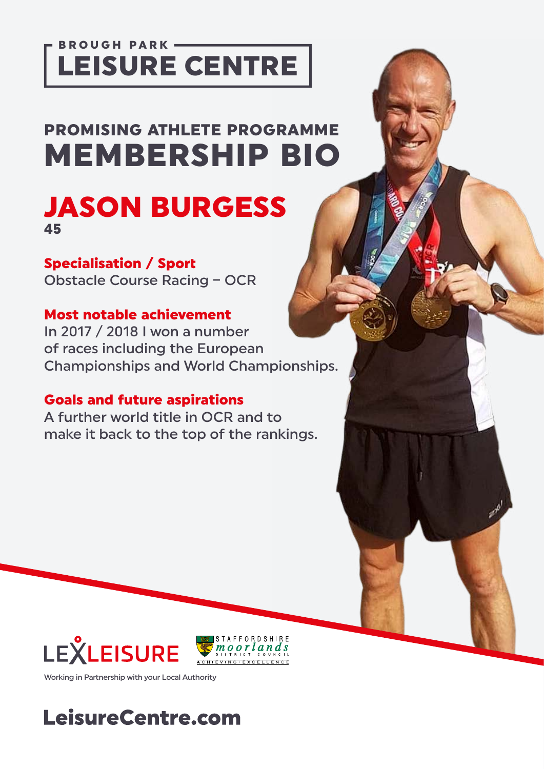### BROUGH PARK -LEISURE CENTRE

# PROMISING ATHLETE PROGRAMME MEMBERSHIP BIO

JASON BURGESS 45

#### Specialisation / Sport

Obstacle Course Racing – OCR

#### Most notable achievement

In 2017 / 2018 I won a number of races including the European Championships and World Championships.

#### Goals and future aspirations

A further world title in OCR and to make it back to the top of the rankings.





Working in Partnership with your Local Authority

## LeisureCentre.com